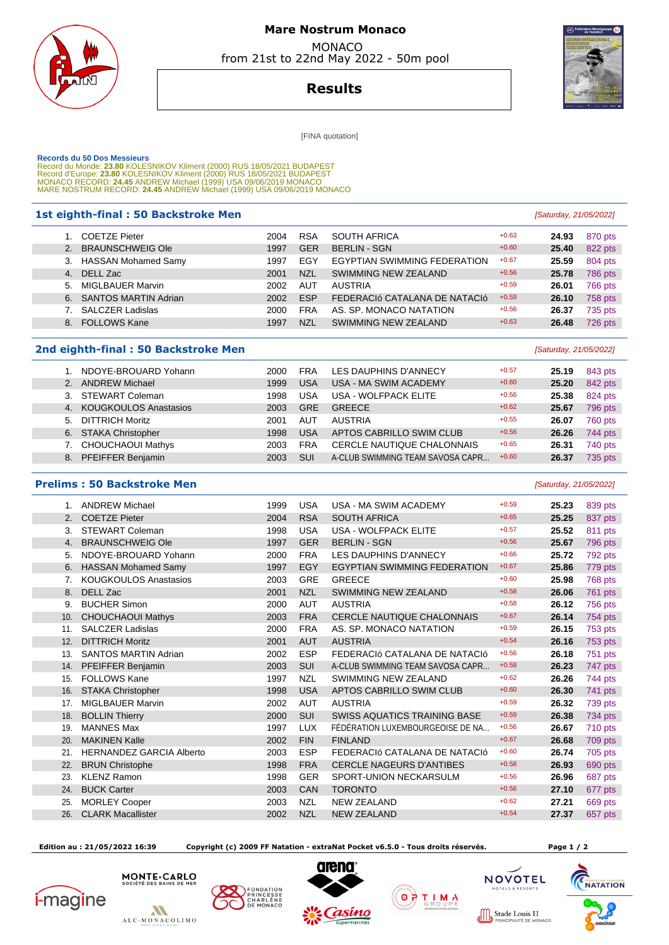

## **Mare Nostrum Monaco**  MONACO

from 21st to 22nd May 2022 - 50m pool



**Results**

[FINA quotation]

Records du 50 Dos Messieurs<br>Record du Monde: 23.80 KOLESNIKOV Kliment (2000) RUS 18/05/2021 BUDAPEST<br>Record d'Europe: 23.80 KOLESNIKOV Kliment (2000) RUS 18/05/2021 BUDAPEST<br>Record d'Europe: 24.45 ANDREW Michael (1999) USA

#### **1st eighth-final : 50 Backstroke Men** [Saturday, 21/05/2022]

|    | <b>COETZE Pieter</b>        | 2004 | <b>RSA</b> | <b>SOUTH AFRICA</b>           | $+0.63$ | 24.93 | 870 pts        |
|----|-----------------------------|------|------------|-------------------------------|---------|-------|----------------|
| 2. | <b>BRAUNSCHWEIG Ole</b>     | 1997 | <b>GER</b> | <b>BERLIN - SGN</b>           | $+0.60$ | 25.40 | 822 pts        |
| 3. | <b>HASSAN Mohamed Samy</b>  | 1997 | EGY        | EGYPTIAN SWIMMING FEDERATION  | $+0.67$ | 25.59 | 804 pts        |
| 4. | DELL Zac                    | 2001 | <b>NZL</b> | SWIMMING NEW ZEALAND          | $+0.56$ | 25.78 | <b>786 pts</b> |
| 5. | <b>MIGLBAUER Marvin</b>     | 2002 | <b>AUT</b> | <b>AUSTRIA</b>                | $+0.59$ | 26.01 | 766 pts        |
| 6. | <b>SANTOS MARTIN Adrian</b> | 2002 | <b>ESP</b> | FEDERACIÓ CATALANA DE NATACIÓ | $+0.59$ | 26.10 | 758 pts        |
|    | <b>SALCZER Ladislas</b>     | 2000 | <b>FRA</b> | AS. SP. MONACO NATATION       | $+0.56$ | 26.37 | 735 pts        |
| 8. | <b>FOLLOWS Kane</b>         | 1997 | <b>NZL</b> | SWIMMING NEW ZEALAND          | $+0.63$ | 26.48 | 726 pts        |
|    |                             |      |            |                               |         |       |                |

### **2nd eighth-final : 50 Backstroke Men Example 2nd eighth-final : 50 Backstroke Men Example 2nd eighth-final : 50 Backstroke Men**

|                | NDOYE-BROUARD Yohann         | 2000 | FRA        | LES DAUPHINS D'ANNECY             | $+0.57$ | 25.19 | 843 pts |
|----------------|------------------------------|------|------------|-----------------------------------|---------|-------|---------|
| 2 <sub>1</sub> | <b>ANDREW Michael</b>        | 1999 | <b>USA</b> | USA - MA SWIM ACADEMY             | $+0.60$ | 25.20 | 842 pts |
| 3.             | STEWART Coleman              | 1998 | USA        | USA - WOLFPACK ELITE              | $+0.56$ | 25.38 | 824 pts |
| 4.             | <b>KOUGKOULOS Anastasios</b> | 2003 | <b>GRE</b> | <b>GREECE</b>                     | $+0.62$ | 25.67 | 796 pts |
| 5.             | <b>DITTRICH Moritz</b>       | 2001 | AUT        | <b>AUSTRIA</b>                    | $+0.55$ | 26.07 | 760 pts |
|                | 6. STAKA Christopher         | 1998 | <b>USA</b> | APTOS CABRILLO SWIM CLUB          | $+0.56$ | 26.26 | 744 pts |
|                | <b>CHOUCHAOUI Mathys</b>     | 2003 | <b>FRA</b> | <b>CERCLE NAUTIQUE CHALONNAIS</b> | $+0.65$ | 26.31 | 740 pts |
| 8.             | <b>PFEIFFER Benjamin</b>     | 2003 | SUI        | A-CLUB SWIMMING TEAM SAVOSA CAPR  | $+0.60$ | 26.37 | 735 pts |

### **Prelims : 50 Backstroke Men** [Saturday, 21/05/2022]

 1. ANDREW Michael 1999 USA USA - MA SWIM ACADEMY +0.59 **25.23** 839 pts 2. COETZE Pieter 2004 RSA SOUTH AFRICA +0.65 **25.25** 837 pts 3. STEWART Coleman **1998** USA USA - WOLFPACK ELITE  $+0.57$  **25.52** 811 pts 4. BRAUNSCHWEIG Ole 1997 GER BERLIN - SGN +0.56 **25.67** 796 pts 5. NDOYE-BROUARD Yohann 2000 FRA LES DAUPHINS D'ANNECY +0.66 25.72 792 pts 6. HASSAN Mohamed Samy 1997 EGY EGYPTIAN SWIMMING FEDERATION +0.67 **25.86** 779 pts 7. KOUGKOULOS Anastasios **2003** GRE GREECE **1998 25.98 <b>25.98** 768 pts 8. DELL Zac 26.06 761 pts 2001 NZL SWIMMING NEW ZEALAND  $+0.58$  26.06 761 pts 9. BUCHER Simon **2000** AUT AUSTRIA +0.58 **26.12** 756 pts 10. CHOUCHAOUI Mathys 2003 FRA CERCLE NAUTIQUE CHALONNAIS +0.67 **26.14** 754 pts 11. SALCZER Ladislas 2000 FRA AS. SP. MONACO NATATION +0.59 **26.15** 753 pts 12. DITTRICH Moritz 2001 AUT AUSTRIA +0.54 **26.16** 753 pts 13. SANTOS MARTIN Adrian 2002 ESP FEDERACIó CATALANA DE NATACIó +0.56 **26.18** 751 pts 14. PFEIFFER Benjamin 2003 SUI A-CLUB SWIMMING TEAM SAVOSA CAPR... +0.58 **26.23** 747 pts 15. FOLLOWS Kane 1997 NZL SWIMMING NEW ZEALAND +0.62 **26.26** 744 pts 16. STAKA Christopher 1998 USA APTOS CABRILLO SWIM CLUB +0.60 **26.30** 741 pts 17. MIGLBAUER Marvin **2002 AUT AUSTRIA** +0.59 **26.32** 739 pts 18. BOLLIN Thierry 2000 SUI SWISS AQUATICS TRAINING BASE +0.59 **26.38** 734 pts 19. MANNES Max 1997 LUX FÉDÉRATION LUXEMBOURGEOISE DE NA... +0.56 **26.67** 710 pts 20. MAKINEN Kalle 2002 FIN FINLAND +0.67 **26.68** 709 pts 21. HERNANDEZ GARCIA Alberto 2003 ESP FEDERACIó CATALANA DE NATACIó +0.60 **26.74** 705 pts 22. BRUN Christophe 1998 FRA CERCLE NAGEURS D'ANTIBES +0.58 **26.93** 690 pts 23. KLENZ Ramon 1998 GER SPORT-UNION NECKARSULM +0.56 **26.96** 687 pts 24. BUCK Carter 2003 CAN TORONTO +0.56 **27.10** 677 pts 25. MORLEY Cooper 2003 NZL NEW ZEALAND  $+0.62$  27.21  $-669$  pts 26. CLARK Macallister 2002 NZL NEW ZEALAND +0.54 **27.37** 657 pts

 **Edition au : 21/05/2022 16:39 Copyright (c) 2009 FF Natation - extraNat Pocket v6.5.0 - Tous droits réservés. Page 1 / 2**